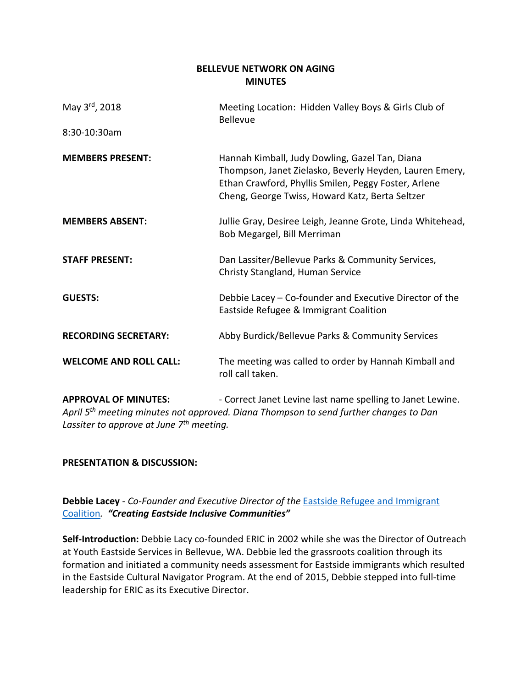## **BELLEVUE NETWORK ON AGING MINUTES**

| May 3 <sup>rd</sup> , 2018    | Meeting Location: Hidden Valley Boys & Girls Club of<br><b>Bellevue</b>                                                                                                                                              |
|-------------------------------|----------------------------------------------------------------------------------------------------------------------------------------------------------------------------------------------------------------------|
| 8:30-10:30am                  |                                                                                                                                                                                                                      |
| <b>MEMBERS PRESENT:</b>       | Hannah Kimball, Judy Dowling, Gazel Tan, Diana<br>Thompson, Janet Zielasko, Beverly Heyden, Lauren Emery,<br>Ethan Crawford, Phyllis Smilen, Peggy Foster, Arlene<br>Cheng, George Twiss, Howard Katz, Berta Seltzer |
| <b>MEMBERS ABSENT:</b>        | Jullie Gray, Desiree Leigh, Jeanne Grote, Linda Whitehead,<br>Bob Megargel, Bill Merriman                                                                                                                            |
| <b>STAFF PRESENT:</b>         | Dan Lassiter/Bellevue Parks & Community Services,<br>Christy Stangland, Human Service                                                                                                                                |
| <b>GUESTS:</b>                | Debbie Lacey - Co-founder and Executive Director of the<br>Eastside Refugee & Immigrant Coalition                                                                                                                    |
| <b>RECORDING SECRETARY:</b>   | Abby Burdick/Bellevue Parks & Community Services                                                                                                                                                                     |
| <b>WELCOME AND ROLL CALL:</b> | The meeting was called to order by Hannah Kimball and<br>roll call taken.                                                                                                                                            |

**APPROVAL OF MINUTES:** - Correct Janet Levine last name spelling to Janet Lewine. *April 5th meeting minutes not approved. Diana Thompson to send further changes to Dan Lassiter to approve at June 7th meeting.* 

# **PRESENTATION & DISCUSSION:**

**Debbie Lacey** *- Co-Founder and Executive Director of the* [Eastside Refugee and Immigrant](http://ericmembers.org/)  [Coalition](http://ericmembers.org/)*. "Creating Eastside Inclusive Communities"*

**Self-Introduction:** Debbie Lacy co-founded ERIC in 2002 while she was the Director of Outreach at Youth Eastside Services in Bellevue, WA. Debbie led the grassroots coalition through its formation and initiated a community needs assessment for Eastside immigrants which resulted in the Eastside Cultural Navigator Program. At the end of 2015, Debbie stepped into full-time leadership for ERIC as its Executive Director.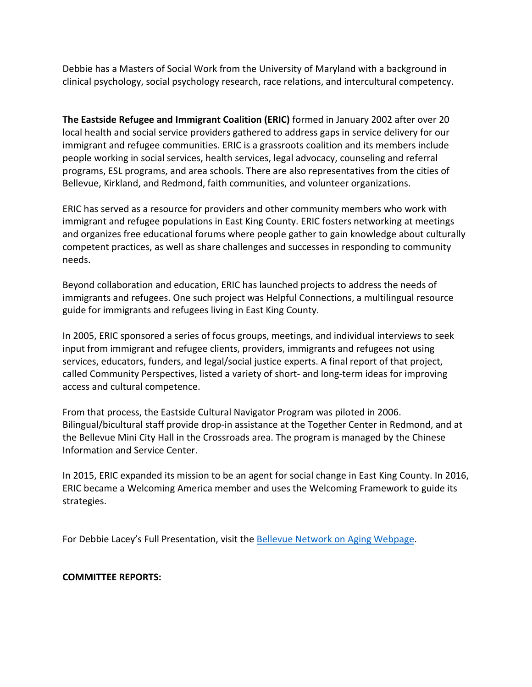Debbie has a Masters of Social Work from the University of Maryland with a background in clinical psychology, social psychology research, race relations, and intercultural competency.

**The Eastside Refugee and Immigrant Coalition (ERIC)** formed in January 2002 after over 20 local health and social service providers gathered to address gaps in service delivery for our immigrant and refugee communities. ERIC is a grassroots coalition and its members include people working in social services, health services, legal advocacy, counseling and referral programs, ESL programs, and area schools. There are also representatives from the cities of Bellevue, Kirkland, and Redmond, faith communities, and volunteer organizations.

ERIC has served as a resource for providers and other community members who work with immigrant and refugee populations in East King County. ERIC fosters networking at meetings and organizes free educational forums where people gather to gain knowledge about culturally competent practices, as well as share challenges and successes in responding to community needs.

Beyond collaboration and education, ERIC has launched projects to address the needs of immigrants and refugees. One such project was [Helpful Connections,](http://eastsideforum.org/resources/multilingual-guides/) a multilingual resource guide for immigrants and refugees living in East King County.

In 2005, ERIC sponsored a series of focus groups, meetings, and individual interviews to seek input from immigrant and refugee clients, providers, immigrants and refugees not using services, educators, funders, and legal/social justice experts. A final report of that project, called [Community Perspectives,](http://eastsideforum.org/wp/wp-content/uploads/2013/06/CommunityPerspectives.pdf) listed a variety of short- and long-term ideas for improving access and cultural competence.

From that process, the [Eastside Cultural Navigator Program](https://sites.google.com/site/culturalnavigatorprogram/home) was piloted in 2006. Bilingual/bicultural staff provide drop-in assistance at the Together Center in Redmond, and at the Bellevue Mini City Hall in the Crossroads area. The program is managed by the Chinese Information and Service Center.

In 2015, ERIC expanded its mission to be an agent for social change in East King County. In 2016, ERIC became a [Welcoming America](http://www.welcomingamerica.org/) member and uses the Welcoming Framework to guide its strategies.

For Debbie Lacey's Full Presentation, visit the [Bellevue Network on Aging Webpage.](https://www.bellevuewa.gov/city-government/departments/community-services/boards-and-commissions/network-on-aging/)

## **COMMITTEE REPORTS:**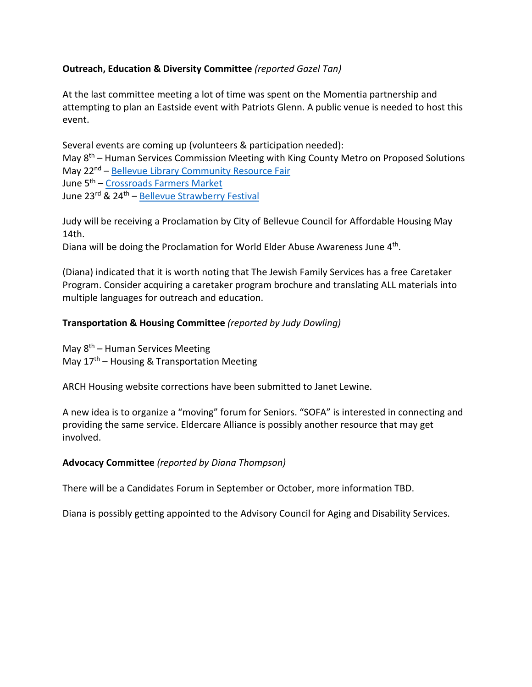## **Outreach, Education & Diversity Committee** *(reported Gazel Tan)*

At the last committee meeting a lot of time was spent on the Momentia partnership and attempting to plan an Eastside event with Patriots Glenn. A public venue is needed to host this event.

Several events are coming up (volunteers & participation needed): May 8th – Human Services Commission Meeting with King County Metro on Proposed Solutions May 22<sup>nd</sup> – [Bellevue Library Community Resource Fair](https://kcls.bibliocommons.com/events/5a739956866d942f009f4935) June 5th – [Crossroads Farmers Market](https://crossroadsbellevue.com/FarmersMarket)  June 23rd & 24<sup>th</sup> – Bellevue Strawberry Festival

Judy will be receiving a Proclamation by City of Bellevue Council for Affordable Housing May 14th.

Diana will be doing the Proclamation for World Elder Abuse Awareness June 4<sup>th</sup>.

(Diana) indicated that it is worth noting that The Jewish Family Services has a free Caretaker Program. Consider acquiring a caretaker program brochure and translating ALL materials into multiple languages for outreach and education.

## **Transportation & Housing Committee** *(reported by Judy Dowling)*

May  $8<sup>th</sup>$  – Human Services Meeting May  $17<sup>th</sup>$  – Housing & Transportation Meeting

ARCH Housing website corrections have been submitted to Janet Lewine.

A new idea is to organize a "moving" forum for Seniors. "SOFA" is interested in connecting and providing the same service. Eldercare Alliance is possibly another resource that may get involved.

## **Advocacy Committee** *(reported by Diana Thompson)*

There will be a Candidates Forum in September or October, more information TBD.

Diana is possibly getting appointed to the Advisory Council for Aging and Disability Services.